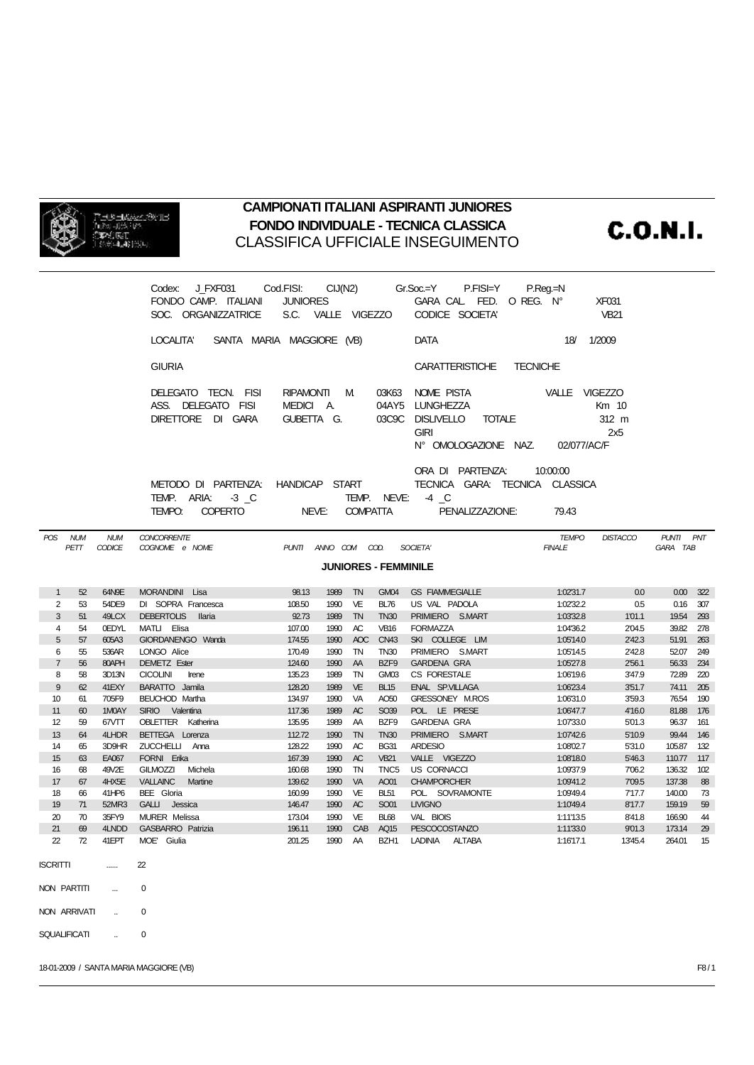

## **CAMPIONATI ITALIANI ASPIRANTI JUNIORES FONDO INDIVIDUALE - TECNICA CLASSICA** CLASSIFICA UFFICIALE INSEGUIMENTO

**C.O.N.I.** 

|                             |          |                             | J FXF031<br>Codex:<br>FONDO CAMP. ITALIANI<br>SOC. ORGANIZZATRICE                                    | Cod.FISI:<br><b>JUNIORES</b><br>S.C. VALLE VIGEZZO |              |                 |                                 | $CIJ(N2)$ $Gr.Soc=Y$<br>P.FISI⊨Y<br>GARA CAL FED. O REG. Nº<br>CODICE SOCIETA'                      | $P_{\cdot}$ Reg $=$ N |                               | <b>XF031</b><br><b>VB21</b> |                       |            |
|-----------------------------|----------|-----------------------------|------------------------------------------------------------------------------------------------------|----------------------------------------------------|--------------|-----------------|---------------------------------|-----------------------------------------------------------------------------------------------------|-----------------------|-------------------------------|-----------------------------|-----------------------|------------|
|                             |          |                             | LOCALITA'<br>SANTA MARIA MAGGIORE (VB)                                                               |                                                    |              |                 |                                 | <b>DATA</b>                                                                                         |                       | 18/                           | 1/2009                      |                       |            |
|                             |          |                             | <b>GIURIA</b>                                                                                        |                                                    |              |                 |                                 | <b>CARATTERISTICHE</b>                                                                              | <b>TECNICHE</b>       |                               |                             |                       |            |
|                             |          |                             | DELEGATO TECN. FISI<br>ASS. DELEGATO FISI<br>DIRETTORE DI GARA                                       | RIPAMONTI M<br>MEDICI A.<br>GUBETTA G.             |              |                 | 03K63<br>03C9C                  | NOME PISTA<br>04AY5 LUNGHEZZA<br><b>DISLIVELLO</b><br>TOTALE<br><b>GIRI</b><br>N° OMOLOGAZIONE NAZ. |                       | VALLE VIGEZZO<br>02/077/AC/F  | Km 10<br>312 m<br>2x5       |                       |            |
|                             |          |                             | METODO DI PARTENZA: HANDICAP START<br>TEMP. ARIA:<br>$-3$ $\_\mathbb{C}$<br>TEMPO:<br><b>COPERTO</b> | NEVE:                                              |              | <b>COMPATTA</b> | TEMP. NEVE:                     | ORA DI PARTENZA:<br>TECNICA GARA: TECNICA CLASSICA<br>$-4$ $\degree$<br>PENALIZZAZIONE:             |                       | 10:00:00<br>79.43             |                             |                       |            |
| POS NUM                     | PETT     | <b>NUM</b><br><b>CODICE</b> | <b>CONCORRENTE</b><br>COGNOME e NOME                                                                 | PUNTI ANNO COM COD.                                |              |                 |                                 | SOCIETA'                                                                                            |                       | <b>TEMPO</b><br><b>FINALE</b> | <b>DISTACCO</b>             | PUNTI PNT<br>GARA TAB |            |
| <b>JUNIORES - FEMMINILE</b> |          |                             |                                                                                                      |                                                    |              |                 |                                 |                                                                                                     |                       |                               |                             |                       |            |
| $\mathbf{1}$                | 52       | 64N9E                       | MORANDINI Lisa                                                                                       | 98.13                                              | 1989         | <b>TN</b>       | GM04                            | <b>GS FIAMMEGIALLE</b>                                                                              |                       | 1:02'31.7                     | 0.0                         | 0.00                  | 322        |
|                             |          |                             |                                                                                                      |                                                    |              |                 |                                 |                                                                                                     |                       |                               |                             |                       |            |
| 2                           | 53       | 54DE9                       | DI SOPRA Francesca                                                                                   | 108.50                                             | 1990         | VE              | <b>BL76</b>                     | US VAL PADOLA                                                                                       |                       | 1:02'32.2                     | 0.5                         | 0.16                  | 307        |
| 3                           | 51       | 49LCX                       | DEBERTOLIS Ilaria                                                                                    | 92.73                                              | 1989         | <b>TN</b>       | <b>TN30</b>                     | PRIMIERO S.MART                                                                                     |                       | 1:03'32.8                     | 1'01.1                      | 19.54                 | 293        |
| 4                           | 54       | 0EDYL                       | MATLI Elisa                                                                                          | 107.00                                             | 1990         | AC              | <b>VB16</b>                     | <b>FORMAZZA</b>                                                                                     |                       | 1:04'36.2                     | 2'04.5                      | 39.82                 | 278        |
| 5                           | 57       | 605A3                       | GIORDANENGO Wanda                                                                                    | 174.55                                             | 1990         | AOC             | <b>CN43</b>                     | SKI COLLEGE LIM                                                                                     |                       | 1:05'14.0                     | 2'42.3                      | 51.91                 | 263        |
| 6                           | 55       | 536AR                       | LONGO Alice                                                                                          | 170.49                                             | 1990         | TN              | <b>TN30</b>                     | PRIMIERO S.MART                                                                                     |                       | 1:05'14.5                     | 2'42.8                      | 52.07                 | 249        |
| $\overline{7}$              | 56       | 80APH                       | DEMETZ Ester                                                                                         | 124.60                                             | 1990         | AA              | BZF9                            | <b>GARDENA GRA</b>                                                                                  |                       | 1:05'27.8                     | 2'56.1                      | 56.33                 | 234        |
| 8                           | 58       | 3D13N                       | <b>CICOLINI</b><br>Irene                                                                             | 135.23                                             | 1989         | TN              | GM03                            | CS FORESTALE                                                                                        |                       | 1:06'19.6                     | 3'47.9                      | 72.89                 | 220        |
| 9                           | 62       | 41EXY                       | BARATTO Jamila                                                                                       | 128.20                                             | 1989         | <b>VE</b>       | <b>BL15</b>                     | ENAL SP.VILLAGA                                                                                     |                       | 1:06'23.4                     | 3'51.7                      | 74.11                 | 205        |
| 10                          | 61       | 705F9                       | <b>BEUCHOD Martha</b>                                                                                | 134.97                                             | 1990         | <b>VA</b>       | AO <sub>50</sub>                | GRESSONEY M.ROS                                                                                     |                       | 1:06'31.0                     | 3'59.3                      | 76.54                 | 190        |
| 11                          | 60       | 1M0AY                       | SIRIO Valentina                                                                                      | 117.36                                             | 1989         | AC              | SO39                            | POL. LE PRESE                                                                                       |                       | 1:06'47.7                     | 4'16.0                      | 81.88                 | 176        |
| 12                          | 59       | 67VTT                       | <b>OBLETTER</b> Katherina                                                                            | 135.95                                             | 1989         | AA              | BZF9                            | <b>GARDENA GRA</b>                                                                                  |                       | 1:07'33.0                     | 5'01.3                      | 96.37                 | 161        |
| 13<br>14                    | 64<br>65 | 4LHDR<br>3D9HR              | BETTEGA Lorenza<br>ZUCCHELLI Anna                                                                    | 112.72<br>128.22                                   | 1990<br>1990 | <b>TN</b><br>AC | <b>TN30</b><br><b>BG31</b>      | PRIMIERO S.MART<br><b>ARDESIO</b>                                                                   |                       | 1:07'42.6                     | 5'10.9<br>5'31.0            | 99.44<br>105.87       | 146<br>132 |
|                             |          |                             |                                                                                                      |                                                    |              |                 |                                 | VALLE VIGEZZO                                                                                       |                       | 1:08'02.7                     |                             |                       |            |
| 15<br>16                    | 63<br>68 | EA067<br>49V2E              | FORNI Erika<br><b>GILMOZZI</b><br>Michela                                                            | 167.39<br>160.68                                   | 1990<br>1990 | AC<br>TN        | <b>VB21</b><br>TNC <sub>5</sub> | <b>US CORNACCI</b>                                                                                  |                       | 1:08'18.0<br>1:09'37.9        | 5'46.3<br>7'06.2            | 110.77<br>136.32      | 117<br>102 |
| 17                          | 67       | 4HX5E                       | VALLAINC Martine                                                                                     | 139.62                                             | 1990         | VA              | AO01                            | <b>CHAMPORCHER</b>                                                                                  |                       | 1:09'41.2                     | 7'09.5                      | 137.38                | 88         |
| 18                          | 66       | 41HP6                       | BEE Gloria                                                                                           | 160.99                                             | 1990         | VE              | <b>BL51</b>                     | POL. SOVRAMONTE                                                                                     |                       | 1:09'49.4                     | 7'17.7                      | 140.00                | 73         |
| 19                          | 71       | 52MR3                       | GALLI Jessica                                                                                        | 146.47                                             | 1990         | AC              | <b>SO01</b>                     | <b>LIVIGNO</b>                                                                                      |                       | 1:10'49.4                     | 8'17.7                      | 159.19                | 59         |
| 20                          | 70       | 35FY9                       | <b>MURER Melissa</b>                                                                                 | 173.04                                             | 1990         | VE              | <b>BL68</b>                     | VAL BIOIS                                                                                           |                       | 1:11'13.5                     | 8'41.8                      | 166.90                | 44         |
| 21                          | 69       | 4LNDD                       | <b>GASBARRO</b> Patrizia                                                                             | 196.11                                             | 1990         | CAB             | AQ15                            | PESCOCOSTANZO                                                                                       |                       | 1:11'33.0                     | 9'01.3                      | 173.14                | 29         |
| $\boldsymbol{z}$            | 72       | 41EPT                       | MOE' Giulia                                                                                          | 201.25                                             | 1990 AA      |                 |                                 | BZH1 LADINIA<br>ALTABA                                                                              |                       | 1:16'17.1                     | 1345.4                      | 264.01                | 15         |
| <b>ISCRITTI</b>             |          |                             | 22                                                                                                   |                                                    |              |                 |                                 |                                                                                                     |                       |                               |                             |                       |            |
| NON PARTITI                 |          | m.                          | 0                                                                                                    |                                                    |              |                 |                                 |                                                                                                     |                       |                               |                             |                       |            |
| NON ARRIVATI                |          |                             | 0                                                                                                    |                                                    |              |                 |                                 |                                                                                                     |                       |                               |                             |                       |            |
| <b>SQUALIFICATI</b>         |          |                             | 0                                                                                                    |                                                    |              |                 |                                 |                                                                                                     |                       |                               |                             |                       |            |

18-01-2009 / SANTA MARIA MAGGIORE (VB) F8 / 1